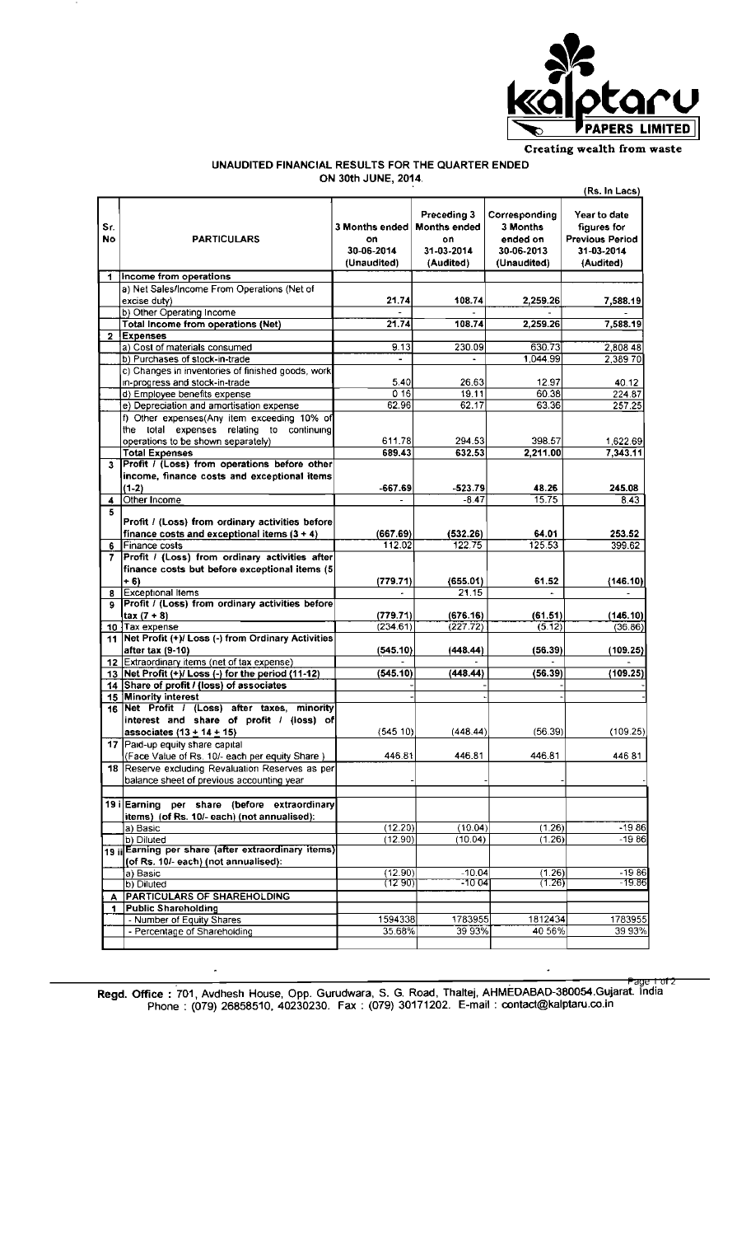

## UNAUDITED FINANCIAL RESULTS FOR THE QUARTER ENDED ON 30th JUNE, 2014.

|                      |                                                                                                                                                         | (Rs. In Lacs)                                     |                                                                     |                                                                    |                                                                                  |  |
|----------------------|---------------------------------------------------------------------------------------------------------------------------------------------------------|---------------------------------------------------|---------------------------------------------------------------------|--------------------------------------------------------------------|----------------------------------------------------------------------------------|--|
| Sr.<br>No            | <b>PARTICULARS</b>                                                                                                                                      | 3 Months ended<br>on<br>30-06-2014<br>(Unaudited) | Preceding 3<br><b>Months ended</b><br>on<br>31-03-2014<br>(Audited) | Corresponding<br>3 Months<br>ended on<br>30-06-2013<br>(Unaudited) | Year to date<br>figures for<br><b>Previous Period</b><br>31-03-2014<br>(Audited) |  |
| $\blacktriangleleft$ | Income from operations                                                                                                                                  |                                                   |                                                                     |                                                                    |                                                                                  |  |
|                      | a) Net Sales/Income From Operations (Net of                                                                                                             |                                                   |                                                                     |                                                                    |                                                                                  |  |
|                      | excise duty)                                                                                                                                            | 21.74                                             | 108.74                                                              | 2,259.26                                                           | 7,588.19                                                                         |  |
|                      | b) Other Operating Income                                                                                                                               |                                                   |                                                                     |                                                                    |                                                                                  |  |
|                      | Total Income from operations (Net)                                                                                                                      | 21.74                                             | 108.74                                                              | 2.259.26                                                           | 7,588.19                                                                         |  |
| $\mathbf{2}$         | <b>Expenses</b>                                                                                                                                         |                                                   |                                                                     |                                                                    |                                                                                  |  |
|                      | a) Cost of materials consumed                                                                                                                           | 9.13                                              | 230.09                                                              | 630.73<br>1.044.99                                                 | 2,808 48<br>2,38970                                                              |  |
|                      | b) Purchases of stock-in-trade<br>c) Changes in inventories of finished goods, work                                                                     |                                                   |                                                                     |                                                                    |                                                                                  |  |
|                      | in-progress and stock-in-trade                                                                                                                          | 5.40                                              | 26.63                                                               | 12.97                                                              | 40.12                                                                            |  |
|                      | d) Employee benefits expense                                                                                                                            | 016                                               | 19.11                                                               | 60.38                                                              | 224.87                                                                           |  |
|                      | e) Depreciation and amortisation expense                                                                                                                | 62.96                                             | 62.17                                                               | 63.36                                                              | 257 25                                                                           |  |
|                      | f) Other expenses(Any item exceeding 10% of<br>the total expenses relating to continuing<br>operations to be shown separately)<br><b>Total Expenses</b> | 611.78<br>689.43                                  | 294.53<br>632.53                                                    | 398.57<br>2.211.00                                                 | 1,622.69<br>7,343.11                                                             |  |
| 3                    | Profit / (Loss) from operations before other                                                                                                            |                                                   |                                                                     |                                                                    |                                                                                  |  |
|                      | income, finance costs and exceptional items<br>$(1-2)$                                                                                                  | $-667.69$                                         | -523.79                                                             | 48.26                                                              | 245.08                                                                           |  |
| 4                    | Other Income                                                                                                                                            |                                                   | $-8.47$                                                             | 15.75                                                              | 8.43                                                                             |  |
| 5                    |                                                                                                                                                         |                                                   |                                                                     |                                                                    |                                                                                  |  |
|                      | Profit / (Loss) from ordinary activities before                                                                                                         |                                                   |                                                                     |                                                                    |                                                                                  |  |
|                      | finance costs and exceptional items $(3 + 4)$                                                                                                           | (667.69)                                          | (532.26)                                                            | 64.01                                                              | 253.52                                                                           |  |
| 6                    | Finance costs                                                                                                                                           | 112.02                                            | 122.75                                                              | 125.53                                                             | 399.62                                                                           |  |
| Ζ.                   | Profit / (Loss) from ordinary activities after<br>finance costs but before exceptional items (5                                                         |                                                   |                                                                     |                                                                    |                                                                                  |  |
|                      | $+ 6)$                                                                                                                                                  | (779.71)                                          | (655.01)                                                            | 61.52                                                              | (146.10)                                                                         |  |
| 8                    | <b>Exceptional Items</b><br>Profit / (Loss) from ordinary activities before                                                                             | $\overline{\phantom{a}}$                          | 21.15                                                               | ÷.                                                                 | $\overline{a}$                                                                   |  |
| 9                    | $\text{tax} (7 + 8)$                                                                                                                                    | (779.71)                                          | (676.16)                                                            | (61.51)                                                            | (146.10)                                                                         |  |
|                      | 10 Tax expense                                                                                                                                          | (234.61)                                          | (227.72)                                                            | (5.12)                                                             | (36.86)                                                                          |  |
|                      | 11 Net Profit (+)/ Loss (-) from Ordinary Activities<br>after tax (9-10)                                                                                | (545.10)                                          | (448.44)                                                            | (56.39)                                                            | (109.25)                                                                         |  |
|                      | 12 Extraordinary items (net of tax expense)                                                                                                             |                                                   |                                                                     |                                                                    |                                                                                  |  |
|                      | 13 Net Profit (+)/ Loss (-) for the period (11-12)                                                                                                      | (545.10)                                          | (448.44)                                                            | (56.39)                                                            | (109.25)                                                                         |  |
|                      | 14 Share of profit / (loss) of associates                                                                                                               |                                                   |                                                                     |                                                                    |                                                                                  |  |
|                      | 15 Minority interest                                                                                                                                    |                                                   |                                                                     |                                                                    |                                                                                  |  |
| 16                   | Net Profit / (Loss) after taxes, minority<br>interest and share of profit / (loss) of<br>associates (13 + 14 + 15)                                      | (54510)                                           | (448.44)                                                            | (56.39)                                                            | (109.25)                                                                         |  |
|                      | 17 Paid-up equity share capital                                                                                                                         |                                                   |                                                                     |                                                                    |                                                                                  |  |
|                      | (Face Value of Rs. 10/- each per equity Share)                                                                                                          | 446.81                                            | 446.81                                                              | 446.81                                                             | 44681                                                                            |  |
|                      | 18 Reserve excluding Revaluation Reserves as per<br>balance sheet of previous accounting year                                                           |                                                   |                                                                     |                                                                    |                                                                                  |  |
|                      |                                                                                                                                                         |                                                   |                                                                     |                                                                    |                                                                                  |  |
|                      | 19 i Earning per share (before extraordinary<br>items) (of Rs. 10/- each) (not annualised):                                                             |                                                   |                                                                     |                                                                    |                                                                                  |  |
|                      | a) Basic                                                                                                                                                | (12.20)                                           | (10.04)                                                             | (1.26)                                                             | $-1986$                                                                          |  |
|                      | b) Diluted                                                                                                                                              | (12.90)                                           | (10.04)                                                             | (1.26)                                                             | $-1986$                                                                          |  |
|                      | 19 ii Earning per share (after extraordinary items)<br>(of Rs. 10/- each) (not annualised):                                                             |                                                   |                                                                     |                                                                    |                                                                                  |  |
|                      | a) Basic                                                                                                                                                | (12.90)                                           | $-10.04$                                                            | (1.26)                                                             | $-1986$                                                                          |  |
|                      | b) Diluted                                                                                                                                              | (12 90)                                           | $-1004$                                                             | (1.26)                                                             | -19.86                                                                           |  |
| А                    | <b>PARTICULARS OF SHAREHOLDING</b>                                                                                                                      |                                                   |                                                                     |                                                                    |                                                                                  |  |
| 1.                   | <b>Public Shareholding</b>                                                                                                                              |                                                   |                                                                     |                                                                    |                                                                                  |  |
|                      | - Number of Equity Shares<br>- Percentage of Shareholding                                                                                               | 1594338<br>35.68%                                 | 1783955<br>39 93%                                                   | 1812434<br>40 56%                                                  | 1783955<br>39 93%                                                                |  |
|                      |                                                                                                                                                         |                                                   |                                                                     |                                                                    |                                                                                  |  |
|                      |                                                                                                                                                         |                                                   |                                                                     |                                                                    |                                                                                  |  |

Page 1 of 2<br>Regd. Office: 701, Avdhesh House, Opp. Gurudwara, S. G. Road, Thaltej, AHMEDABAD-380054.Gujarat. India<br>Phone: (079) 26858510, 40230230. Fax: (079) 30171202. E-mail: contact@kalptaru.co.in

 $\cdot$